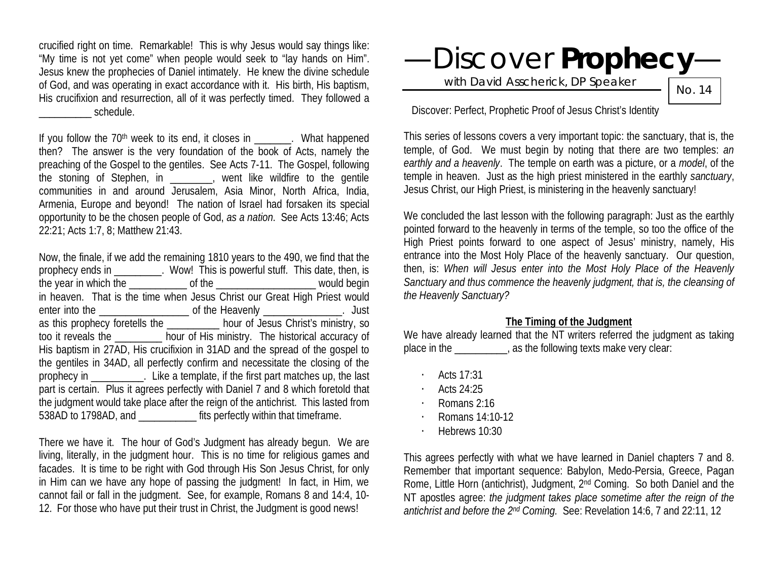crucified right on time. Remarkable! This is why Jesus would say things like: "My time is not yet come" when people would seek to "lay hands on Him". Jesus knew the prophecies of Daniel intimately. He knew the divine schedule of God, and was operating in exact accordance with it. His birth, His baptism, His crucifixion and resurrection, all of it was perfectly timed. They followed a \_\_\_\_\_\_\_\_\_\_ schedule.

If you follow the  $70<sup>th</sup>$  week to its end, it closes in  $\blacksquare$ . What happened then? The answer is the very foundation of the book of Acts, namely the preaching of the Gospel to the gentiles. See Acts 7-11. The Gospel, following the stoning of Stephen, in \_\_\_\_\_\_\_\_, went like wildfire to the gentile communities in and around Jerusalem, Asia Minor, North Africa, India, Armenia, Europe and beyond! The nation of Israel had forsaken its special opportunity to be the chosen people of God, *as a nation*. See Acts 13:46; Acts 22:21; Acts 1:7, 8; Matthew 21:43.

Now, the finale, if we add the remaining 1810 years to the 490, we find that the prophecy ends in \_\_\_\_\_\_\_\_\_. Wow! This is powerful stuff. This date, then, is the year in which the \_\_\_\_\_\_\_\_\_\_\_ of the \_\_\_\_\_\_\_\_\_\_\_\_\_\_\_\_\_\_\_ would begin in heaven. That is the time when Jesus Christ our Great High Priest would enter into the \_\_\_\_\_\_\_\_\_\_\_\_\_\_\_\_\_ of the Heavenly \_\_\_\_\_\_\_\_\_\_\_\_\_\_\_. Just as this prophecy foretells the hour of Jesus Christ's ministry, so too it reveals the \_\_\_\_\_\_\_\_\_ hour of His ministry. The historical accuracy of His baptism in 27AD, His crucifixion in 31AD and the spread of the gospel to the gentiles in 34AD, all perfectly confirm and necessitate the closing of the prophecy in \_\_\_\_\_\_\_\_\_\_. Like a template, if the first part matches up, the last part is certain. Plus it agrees perfectly with Daniel 7 and 8 which foretold that the judgment would take place after the reign of the antichrist. This lasted from 538AD to 1798AD, and \_\_\_\_\_\_\_\_\_\_\_ fits perfectly within that timeframe.

There we have it. The hour of God's Judgment has already begun. We are living, literally, in the judgment hour. This is no time for religious games and facades. It is time to be right with God through His Son Jesus Christ, for only in Him can we have any hope of passing the judgment! In fact, in Him, we cannot fail or fall in the judgment. See, for example, Romans 8 and 14:4, 10- 12. For those who have put their trust in Christ, the Judgment is good news!

# —Discover **Prophecy**—

with David Asscherick, DP Speaker

No. 14

Discover: Perfect, Prophetic Proof of Jesus Christ's Identity

This series of lessons covers a very important topic: the sanctuary, that is, the temple, of God. We must begin by noting that there are two temples: *an earthly and a heavenly*. The temple on earth was a picture, or a *model*, of the temple in heaven. Just as the high priest ministered in the earthly *sanctuary*, Jesus Christ, our High Priest, is ministering in the heavenly sanctuary!

We concluded the last lesson with the following paragraph: Just as the earthly pointed forward to the heavenly in terms of the temple, so too the office of the High Priest points forward to one aspect of Jesus' ministry, namely, His entrance into the Most Holy Place of the heavenly sanctuary. Our question, then, is: *When will Jesus enter into the Most Holy Place of the Heavenly Sanctuary and thus commence the heavenly judgment, that is, the cleansing of the Heavenly Sanctuary?* 

#### **The Timing of the Judgment**

We have already learned that the NT writers referred the judgment as taking place in the \_\_\_\_\_\_\_\_\_, as the following texts make very clear:

- · Acts 17:31
- · Acts 24:25
- · Romans 2:16
- · Romans 14:10-12
- · Hebrews 10:30

This agrees perfectly with what we have learned in Daniel chapters 7 and 8. Remember that important sequence: Babylon, Medo-Persia, Greece, Pagan Rome, Little Horn (antichrist), Judgment, 2<sup>nd</sup> Coming. So both Daniel and the NT apostles agree: *the judgment takes place sometime after the reign of the antichrist and before the 2nd Coming.* See: Revelation 14:6, 7 and 22:11, 12